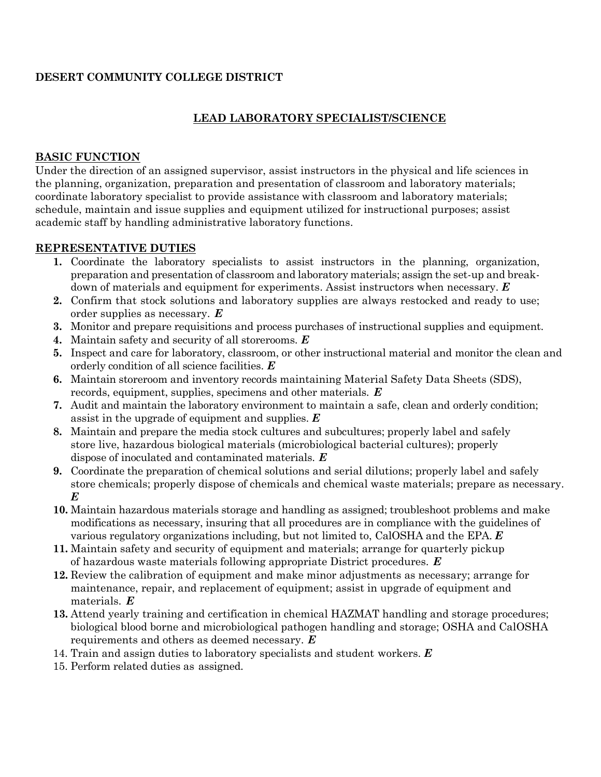#### **DESERT COMMUNITY COLLEGE DISTRICT**

#### **LEAD LABORATORY SPECIALIST/SCIENCE**

#### **BASIC FUNCTION**

Under the direction of an assigned supervisor, assist instructors in the physical and life sciences in the planning, organization, preparation and presentation of classroom and laboratory materials; coordinate laboratory specialist to provide assistance with classroom and laboratory materials; schedule, maintain and issue supplies and equipment utilized for instructional purposes; assist academic staff by handling administrative laboratory functions.

#### **REPRESENTATIVE DUTIES**

- **1.** Coordinate the laboratory specialists to assist instructors in the planning, organization, preparation and presentation of classroom and laboratory materials; assign the set-up and breakdown of materials and equipment for experiments. Assist instructors when necessary. *E*
- **2.** Confirm that stock solutions and laboratory supplies are always restocked and ready to use; order supplies as necessary. *E*
- **3.** Monitor and prepare requisitions and process purchases of instructional supplies and equipment.
- **4.** Maintain safety and security of all storerooms. *E*
- **5.** Inspect and care for laboratory, classroom, or other instructional material and monitor the clean and orderly condition of all science facilities. *E*
- **6.** Maintain storeroom and inventory records maintaining Material Safety Data Sheets (SDS), records, equipment, supplies, specimens and other materials. *E*
- **7.** Audit and maintain the laboratory environment to maintain a safe, clean and orderly condition; assist in the upgrade of equipment and supplies. *E*
- **8.** Maintain and prepare the media stock cultures and subcultures; properly label and safely store live, hazardous biological materials (microbiological bacterial cultures); properly dispose of inoculated and contaminated materials. *E*
- **9.** Coordinate the preparation of chemical solutions and serial dilutions; properly label and safely store chemicals; properly dispose of chemicals and chemical waste materials; prepare as necessary. *E*
- **10.** Maintain hazardous materials storage and handling as assigned; troubleshoot problems and make modifications as necessary, insuring that all procedures are in compliance with the guidelines of various regulatory organizations including, but not limited to, CalOSHA and the EPA. *E*
- **11.** Maintain safety and security of equipment and materials; arrange for quarterly pickup of hazardous waste materials following appropriate District procedures. *E*
- **12.** Review the calibration of equipment and make minor adjustments as necessary; arrange for maintenance, repair, and replacement of equipment; assist in upgrade of equipment and materials. *E*
- **13.** Attend yearly training and certification in chemical HAZMAT handling and storage procedures; biological blood borne and microbiological pathogen handling and storage; OSHA and CalOSHA requirements and others as deemed necessary. *E*
- 14. Train and assign duties to laboratory specialists and student workers. *E*
- 15. Perform related duties as assigned.